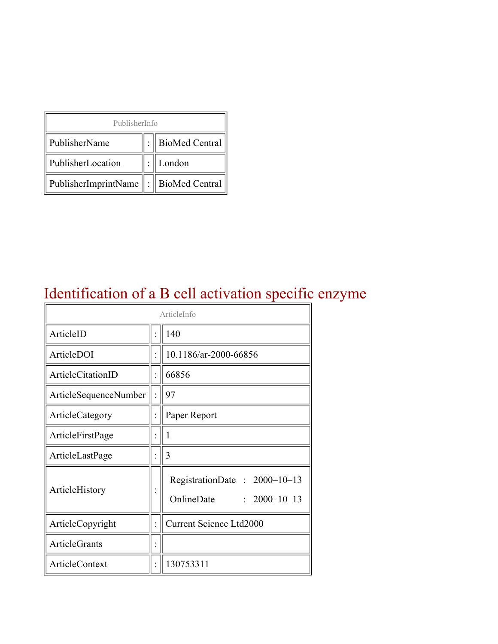| PublisherInfo                                   |  |                    |  |  |
|-------------------------------------------------|--|--------------------|--|--|
| PublisherName                                   |  | :   BioMed Central |  |  |
| PublisherLocation                               |  | London             |  |  |
| PublisherImprintName $\ \cdot\ $ BioMed Central |  |                    |  |  |

## Identification of a B cell activation specific enzyme

| ArticleInfo                  |  |                                                                  |  |
|------------------------------|--|------------------------------------------------------------------|--|
| ArticleID                    |  | 140                                                              |  |
| ArticleDOI                   |  | 10.1186/ar-2000-66856                                            |  |
| ArticleCitationID            |  | 66856                                                            |  |
| <b>ArticleSequenceNumber</b> |  | 97                                                               |  |
| ArticleCategory              |  | Paper Report                                                     |  |
| ArticleFirstPage             |  | 1                                                                |  |
| ArticleLastPage              |  | 3                                                                |  |
| ArticleHistory               |  | RegistrationDate: 2000-10-13<br>OnlineDate<br>$: 2000 - 10 - 13$ |  |
| ArticleCopyright             |  | <b>Current Science Ltd2000</b>                                   |  |
| <b>ArticleGrants</b>         |  |                                                                  |  |
| <b>ArticleContext</b>        |  | 130753311                                                        |  |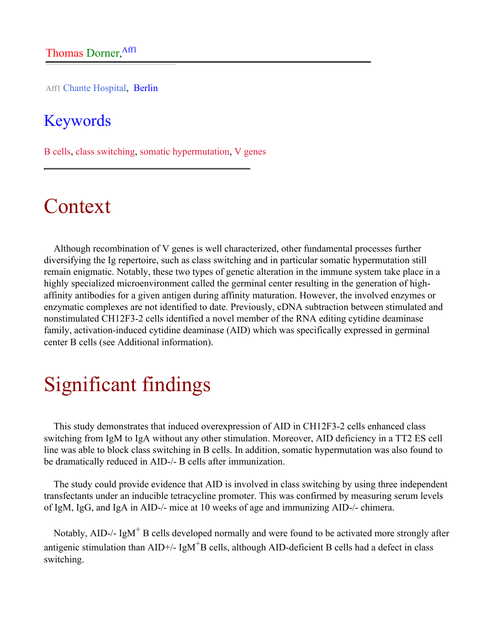Aff1 Chante Hospital, Berlin

### Keywords

B cells, class switching, somatic hypermutation, V genes

## Context

Although recombination of V genes is well characterized, other fundamental processes further diversifying the Ig repertoire, such as class switching and in particular somatic hypermutation still remain enigmatic. Notably, these two types of genetic alteration in the immune system take place in a highly specialized microenvironment called the germinal center resulting in the generation of highaffinity antibodies for a given antigen during affinity maturation. However, the involved enzymes or enzymatic complexes are not identified to date. Previously, cDNA subtraction between stimulated and nonstimulated CH12F3-2 cells identified a novel member of the RNA editing cytidine deaminase family, activation-induced cytidine deaminase (AID) which was specifically expressed in germinal center B cells (see Additional information).

## Significant findings

This study demonstrates that induced overexpression of AID in CH12F3-2 cells enhanced class switching from IgM to IgA without any other stimulation. Moreover, AID deficiency in a TT2 ES cell line was able to block class switching in B cells. In addition, somatic hypermutation was also found to be dramatically reduced in AID-/- B cells after immunization.

The study could provide evidence that AID is involved in class switching by using three independent transfectants under an inducible tetracycline promoter. This was confirmed by measuring serum levels of IgM, IgG, and IgA in AID-/- mice at 10 weeks of age and immunizing AID-/- chimera.

Notably, AID-/-  $IgM<sup>+</sup>$  B cells developed normally and were found to be activated more strongly after antigenic stimulation than  $AID+/- IgM<sup>+</sup>B$  cells, although  $AID$ -deficient  $B$  cells had a defect in class switching.